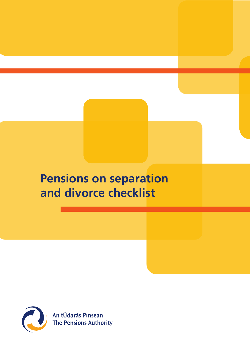# **Pensions on separation and divorce checklist**



An tÚdarás Pinsean<br>The Pensions Authority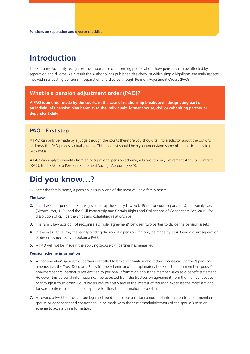# **Introduction**

The Pensions Authority recognises the importance of informing people about how pensions can be affected by separation and divorce. As a result the Authority has published this checklist which simply highlights the main aspects involved in allocating pensions in separation and divorce through Pension Adjustment Orders (PAOs).

# **What is a pension adjustment order (PAO)?**

**A PAO is an order made by the courts, in the case of relationship breakdown, designating part of an individual's pension plan benefits to the individual's former spouse, civil or cohabiting partner or dependent child.**

# **PAO - First step**

A PAO can only be made by a judge through the courts therefore you should talk to a solicitor about the options and how the PAO process actually works. This checklist should help you understand some of the basic issues to do with PAOs.

A PAO can apply to benefits from an occupational pension scheme, a buy-out bond, Retirement Annuity Contract (RAC), trust RAC or a Personal Retirement Savings Account (PRSA).

# **Did you know…?**

**1.** After the family home, a pension is usually one of the most valuable family assets.

#### **The Law**

- **2.** The division of pension assets is governed by the Family Law Act, 1995 (for court separations), the Family Law (Divorce) Act, 1996 and the Civil Partnership and Certain Rights and Obligations of Cohabitants Act, 2010 (for dissolution of civil partnerships and cohabiting relationships).
- **3.** The family law acts do not recognise a simple 'agreement' between two parties to divide the pension assets.
- **4.** In the eyes of the law, the legally binding division of a pension can only be made by a PAO and a court separation or divorce is necessary to obtain a PAO.
- **5.** A PAO will not be made if the applying spouse/civil partner has remarried.

#### **Pension scheme information**

- **6.** A 'non-member' spouse/civil partner is entitled to basic information about their spouse/civil partner's pension scheme, i.e., the Trust Deed and Rules for the scheme and the explanatory booklet. The non-member spouse/ non-member civil partner is not entitled to personal information about the member, such as a benefit statement. However, this personal information can be accessed from the trustees on agreement from the member spouse or through a court order. Court orders can be costly and in the interest of reducing expenses the most straight forward route is for the member spouse to allow the information to be shared.
- **7.** Following a PAO the trustees are legally obliged to disclose a certain amount of information to a non-member spouse or dependent and contact should be made with the trustees/administrators of the spouse's pension scheme to access this information.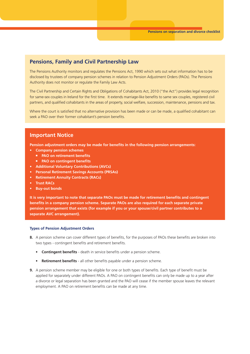### **Pensions, Family and Civil Partnership Law**

The Pensions Authority monitors and regulates the Pensions Act, 1990 which sets out what information has to be disclosed by trustees of company pension schemes in relation to Pension Adjustment Orders (PAOs). The Pensions Authority does not monitor or regulate the Family Law Acts.

The Civil Partnership and Certain Rights and Obligations of Cohabitants Act, 2010 ("the Act") provides legal recognition for same-sex couples in Ireland for the first time. It extends marriage-like benefits to same sex couples, registered civil partners, and qualified cohabitants in the areas of property, social welfare, succession, maintenance, pensions and tax.

Where the court is satisfied that no alternative provision has been made or can be made, a qualified cohabitant can seek a PAO over their former cohabitant's pension benefits.

### **Important Notice**

**Pension adjustment orders may be made for benefits in the following pension arrangements:**

- **• Company pension schemes**
	- **PAO on retirement benefits**
	- **PAO on contingent benefits**
- **• Additional Voluntary Contributions (AVCs)**
- **• Personal Retirement Savings Accounts (PRSAs)**
- **• Retirement Annuity Contracts (RACs)**
- **• Trust RACs**
- **• Buy-out bonds**

**It is very important to note that separate PAOs must be made for retirement benefits and contingent benefits in a company pension scheme. Separate PAOs are also required for each separate private pension arrangement that exists (for example if you or your spouse/civil partner contributes to a separate AVC arrangement).** 

#### **Types of Pension Adjustment Orders**

- **8.** A pension scheme can cover different types of benefits, for the purposes of PAOs these benefits are broken into two types - contingent benefits and retirement benefits.
	- **Contingent benefits** death in service benefits under a pension scheme.
	- **Retirement benefits** all other benefits payable under a pension scheme.
- **9.** A pension scheme member may be eligible for one or both types of benefits. Each type of benefit must be applied for separately under different PAOs. A PAO on contingent benefits can only be made up to a year after a divorce or legal separation has been granted and the PAO will cease if the member spouse leaves the relevant employment. A PAO on retirement benefits can be made at any time.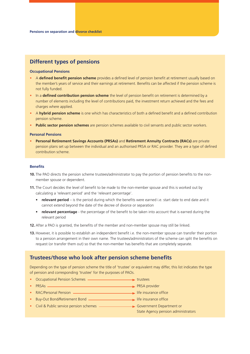# **Different types of pensions**

#### **Occupational Pensions**

- *•* A **defined benefit pension scheme** provides a defined level of pension benefit at retirement usually based on the member's years of service and their earnings at retirement. Benefits can be affected if the pension scheme is not fully funded.
- *•* In a **defined contribution pension scheme** the level of pension benefit on retirement is determined by a number of elements including the level of contributions paid, the investment return achieved and the fees and charges where applied.
- *•* A **hybrid pension scheme** is one which has characteristics of both a defined benefit and a defined contribution pension scheme.
- *•* **Public sector pension schemes** are pension schemes available to civil servants and public sector workers.

#### **Personal Pensions**

*•* **Personal Retirement Savings Accounts (PRSAs)** and **Retirement Annuity Contracts (RACs)** are private pension plans set up between the individual and an authorised PRSA or RAC provider. They are a type of defined contribution scheme.

#### **Benefits**

- **10.** The PAO directs the pension scheme trustees/administrator to pay the portion of pension benefits to the nonmember spouse or dependent.
- **11.** The Court decides the level of benefit to be made to the non-member spouse and this is worked out by calculating a 'relevant period' and the 'relevant percentage'.
	- **relevant period** is the period during which the benefits were earned i.e. start date to end date and it cannot extend beyond the date of the decree of divorce or separation
	- **relevant percentage** the percentage of the benefit to be taken into account that is earned during the relevant period
- **12.** After a PAO is granted, the benefits of the member and non-member spouse may still be linked.
- **13.** However, it is possible to establish an independent benefit i.e. the non-member spouse can transfer their portion to a pension arrangement in their own name. The trustees/administrators of the scheme can split the benefits on request (or transfer them out) so that the non-member has benefits that are completely separate.

# **Trustees/those who look after pension scheme benefits**

Depending on the type of pension scheme the title of 'trustee' or equivalent may differ, this list indicates the type of pension and corresponding 'trustee' for the purposes of PAOs.

- Occupational Pension Schemes **the Contract of the Contract of the Schemes** trustees
- PRSAs <u>———————————————————————</u> PRSA provider
- RAC/Personal Pension <u>- **interlace in the insurance**</u> life insurance office
- Buy-Out Bond/Retirement Bond **\_\_\_\_\_\_\_\_\_\_\_\_\_\_\_\_\_\_\_\_\_\_\_\_\_\_\_\_\_** life insurance office
- **•** Civil & Public service pension schemes **COVID 2014** Government Department or
	- State Agency pension administrators